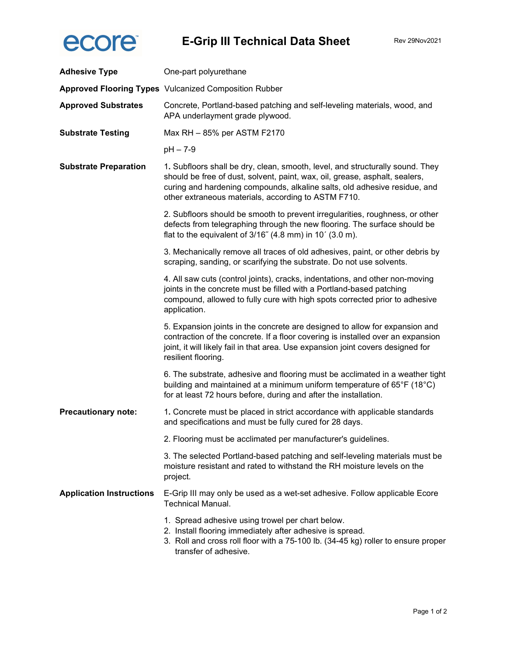

| <b>Adhesive Type</b>            | One-part polyurethane                                                                                                                                                                                                                                                                            |
|---------------------------------|--------------------------------------------------------------------------------------------------------------------------------------------------------------------------------------------------------------------------------------------------------------------------------------------------|
|                                 | <b>Approved Flooring Types</b> Vulcanized Composition Rubber                                                                                                                                                                                                                                     |
| <b>Approved Substrates</b>      | Concrete, Portland-based patching and self-leveling materials, wood, and<br>APA underlayment grade plywood.                                                                                                                                                                                      |
| <b>Substrate Testing</b>        | Max RH - 85% per ASTM F2170                                                                                                                                                                                                                                                                      |
|                                 | $pH - 7-9$                                                                                                                                                                                                                                                                                       |
| <b>Substrate Preparation</b>    | 1. Subfloors shall be dry, clean, smooth, level, and structurally sound. They<br>should be free of dust, solvent, paint, wax, oil, grease, asphalt, sealers,<br>curing and hardening compounds, alkaline salts, old adhesive residue, and<br>other extraneous materials, according to ASTM F710. |
|                                 | 2. Subfloors should be smooth to prevent irregularities, roughness, or other<br>defects from telegraphing through the new flooring. The surface should be<br>flat to the equivalent of 3/16" (4.8 mm) in 10' (3.0 m).                                                                            |
|                                 | 3. Mechanically remove all traces of old adhesives, paint, or other debris by<br>scraping, sanding, or scarifying the substrate. Do not use solvents.                                                                                                                                            |
|                                 | 4. All saw cuts (control joints), cracks, indentations, and other non-moving<br>joints in the concrete must be filled with a Portland-based patching<br>compound, allowed to fully cure with high spots corrected prior to adhesive<br>application.                                              |
|                                 | 5. Expansion joints in the concrete are designed to allow for expansion and<br>contraction of the concrete. If a floor covering is installed over an expansion<br>joint, it will likely fail in that area. Use expansion joint covers designed for<br>resilient flooring.                        |
|                                 | 6. The substrate, adhesive and flooring must be acclimated in a weather tight<br>building and maintained at a minimum uniform temperature of 65°F (18°C)<br>for at least 72 hours before, during and after the installation.                                                                     |
| <b>Precautionary note:</b>      | 1. Concrete must be placed in strict accordance with applicable standards<br>and specifications and must be fully cured for 28 days.                                                                                                                                                             |
|                                 | 2. Flooring must be acclimated per manufacturer's guidelines.                                                                                                                                                                                                                                    |
|                                 | 3. The selected Portland-based patching and self-leveling materials must be<br>moisture resistant and rated to withstand the RH moisture levels on the<br>project.                                                                                                                               |
| <b>Application Instructions</b> | E-Grip III may only be used as a wet-set adhesive. Follow applicable Ecore<br><b>Technical Manual.</b>                                                                                                                                                                                           |
|                                 | 1. Spread adhesive using trowel per chart below.<br>2. Install flooring immediately after adhesive is spread.<br>3. Roll and cross roll floor with a 75-100 lb. (34-45 kg) roller to ensure proper<br>transfer of adhesive.                                                                      |